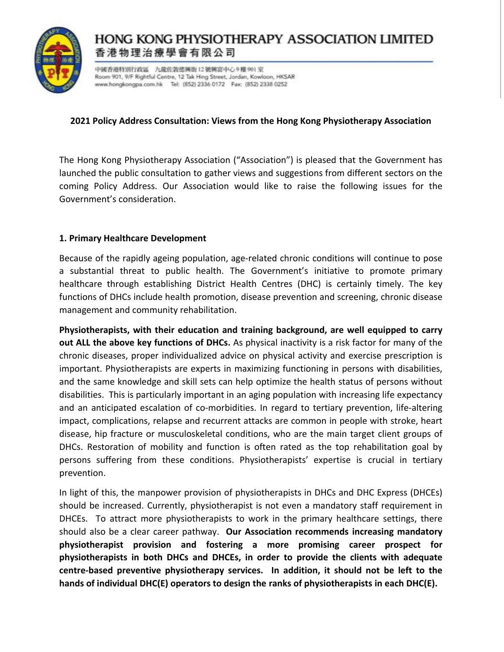

# HONG KONG PHYSIOTHERAPY ASSOCIATION LIMITED 香港物理治療學會有限公司

中國香港特別行政區 九龍佐敦德興街12號興富中心9樓901室 Room 901, 9/F Rightful Centre, 12 Tak Hing Street, Jordan, Kowloon, HKSAR www.hongkongpa.com.hk Tel: (852) 2336 0172 Fax: (852) 2338 0252

### **2021 Policy Address Consultation: Views from the Hong Kong Physiotherapy Association**

The Hong Kong Physiotherapy Association ("Association") is pleased that the Government has launched the public consultation to gather views and suggestions from different sectors on the coming Policy Address. Our Association would like to raise the following issues for the Government's consideration.

### **1. Primary Healthcare Development**

Because of the rapidly ageing population, age-related chronic conditions will continue to pose a substantial threat to public health. The Government's initiative to promote primary healthcare through establishing District Health Centres (DHC) is certainly timely. The key functions of DHCs include health promotion, disease prevention and screening, chronic disease management and community rehabilitation.

**Physiotherapists, with their education and training background, are well equipped to carry out ALL the above key functions of DHCs.** As physical inactivity is a risk factor for many of the chronic diseases, proper individualized advice on physical activity and exercise prescription is important. Physiotherapists are experts in maximizing functioning in persons with disabilities, and the same knowledge and skill sets can help optimize the health status of persons without disabilities. This is particularly important in an aging population with increasing life expectancy and an anticipated escalation of co-morbidities. In regard to tertiary prevention, life-altering impact, complications, relapse and recurrent attacks are common in people with stroke, heart disease, hip fracture or musculoskeletal conditions, who are the main target client groups of DHCs. Restoration of mobility and function is often rated as the top rehabilitation goal by persons suffering from these conditions. Physiotherapists' expertise is crucial in tertiary prevention.

In light of this, the manpower provision of physiotherapists in DHCs and DHC Express (DHCEs) should be increased. Currently, physiotherapist is not even a mandatory staff requirement in DHCEs. To attract more physiotherapists to work in the primary healthcare settings, there should also be a clear career pathway. **Our Association recommends increasing mandatory physiotherapist provision and fostering a more promising career prospect for physiotherapists in both DHCs and DHCEs, in order to provide the clients with adequate centre-based preventive physiotherapy services. In addition, it should not be left to the hands of individual DHC(E) operators to design the ranks of physiotherapists in each DHC(E).**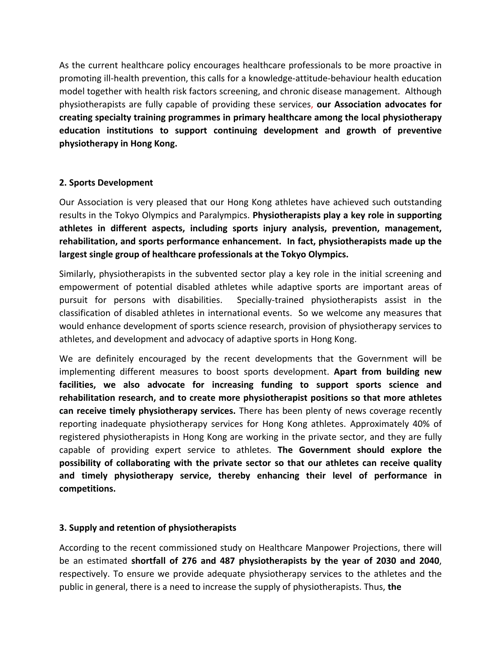As the current healthcare policy encourages healthcare professionals to be more proactive in promoting ill-health prevention, this calls for a knowledge-attitude-behaviour health education model together with health risk factors screening, and chronic disease management. Although physiotherapists are fully capable of providing these services, **our Association advocates for creating specialty training programmes in primary healthcare among the local physiotherapy education institutions to support continuing development and growth of preventive physiotherapy in Hong Kong.** 

### **2. Sports Development**

Our Association is very pleased that our Hong Kong athletes have achieved such outstanding results in the Tokyo Olympics and Paralympics. **Physiotherapists play a key role in supporting athletes in different aspects, including sports injury analysis, prevention, management, rehabilitation, and sports performance enhancement. In fact, physiotherapists made up the largest single group of healthcare professionals at the Tokyo Olympics.** 

Similarly, physiotherapists in the subvented sector play a key role in the initial screening and empowerment of potential disabled athletes while adaptive sports are important areas of pursuit for persons with disabilities. Specially-trained physiotherapists assist in the classification of disabled athletes in international events. So we welcome any measures that would enhance development of sports science research, provision of physiotherapy services to athletes, and development and advocacy of adaptive sports in Hong Kong.

We are definitely encouraged by the recent developments that the Government will be implementing different measures to boost sports development. **Apart from building new facilities, we also advocate for increasing funding to support sports science and rehabilitation research, and to create more physiotherapist positions so that more athletes can receive timely physiotherapy services.** There has been plenty of news coverage recently reporting inadequate physiotherapy services for Hong Kong athletes. Approximately 40% of registered physiotherapists in Hong Kong are working in the private sector, and they are fully capable of providing expert service to athletes. **The Government should explore the possibility of collaborating with the private sector so that our athletes can receive quality and timely physiotherapy service, thereby enhancing their level of performance in competitions.** 

## **3. Supply and retention of physiotherapists**

According to the recent commissioned study on Healthcare Manpower Projections, there will be an estimated **shortfall of 276 and 487 physiotherapists by the year of 2030 and 2040**, respectively. To ensure we provide adequate physiotherapy services to the athletes and the public in general, there is a need to increase the supply of physiotherapists. Thus, **the**